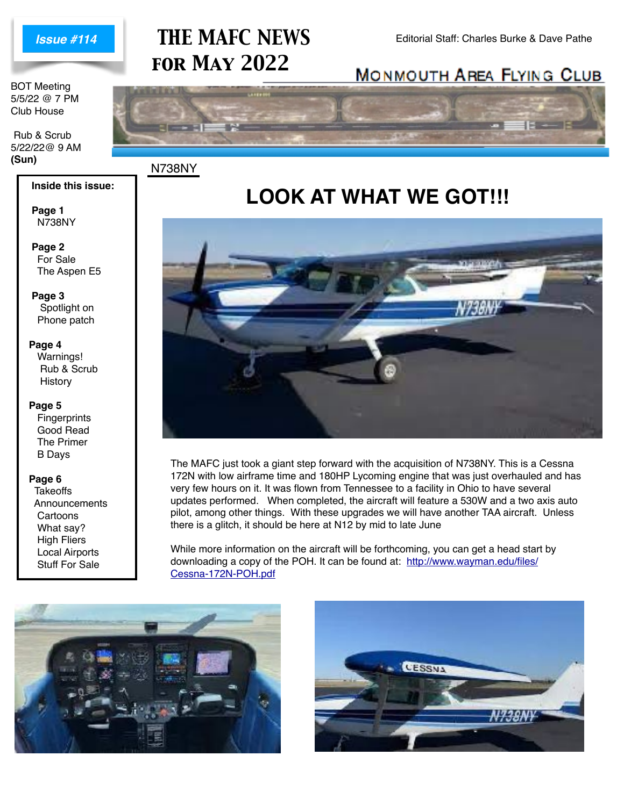

BOT Meeting 5/5/22 @ 7 PM Club House

 Rub & Scrub 5/22/22@ 9 AM **(Sun)** N738NY

# **THE MAFC NEWS** Editorial Staff: Charles Burke & Dave Pathe *for May 2022*

### **MONMOUTH AREA FLYING CLUB**



### **LOOK AT WHAT WE GOT!!!**



The MAFC just took a giant step forward with the acquisition of N738NY. This is a Cessna 172N with low airframe time and 180HP Lycoming engine that was just overhauled and has very few hours on it. It was flown from Tennessee to a facility in Ohio to have several updates performed. When completed, the aircraft will feature a 530W and a two axis auto pilot, among other things. With these upgrades we will have another TAA aircraft. Unless there is a glitch, it should be here at N12 by mid to late June

While more information on the aircraft will be forthcoming, you can get a head start by downloading a copy of the POH. It can be found at: [http://www.wayman.edu/files/](http://www.wayman.edu/files/Cessna-172N-POH.pdf) [Cessna-172N-POH.pdf](http://www.wayman.edu/files/Cessna-172N-POH.pdf)





# N738NY

 **Page 1**

 **Page 2** For Sale The Aspen E5

 **Inside this issue:**

 **Page 3** Spotlight on Phone patch

#### **Page 4**

Warnings! Rub & Scrub **History** 

#### **Page 5**

**Fingerprints**  Good Read The Primer B Days

#### **Page 6**

 $\overline{a}$ 

**Takeoffs Announcements Cartoons**  What say? High Fliers Local Airports Stuff For Sale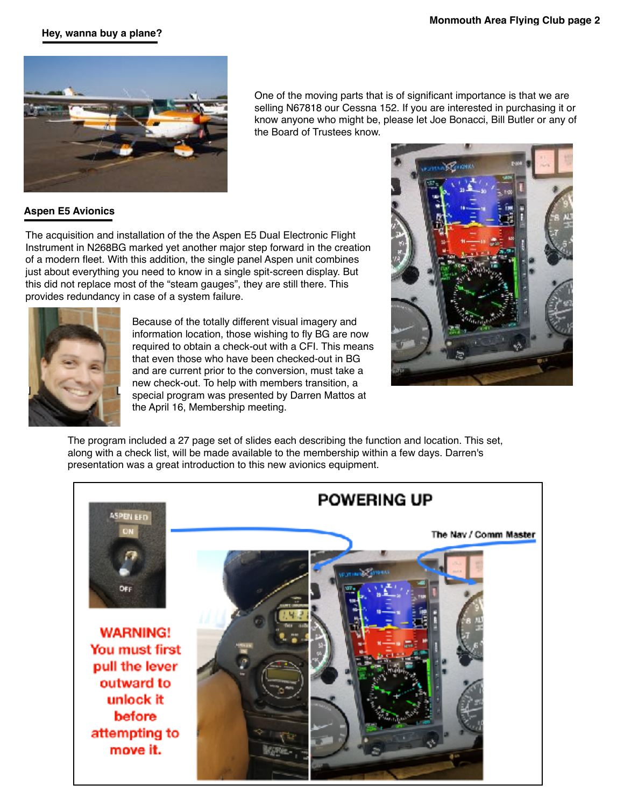#### **Hey, wanna buy a plane?**



One of the moving parts that is of significant importance is that we are selling N67818 our Cessna 152. If you are interested in purchasing it or know anyone who might be, please let Joe Bonacci, Bill Butler or any of the Board of Trustees know.

### **Aspen E5 Avionics**

The acquisition and installation of the the Aspen E5 Dual Electronic Flight Instrument in N268BG marked yet another major step forward in the creation of a modern fleet. With this addition, the single panel Aspen unit combines just about everything you need to know in a single spit-screen display. But this did not replace most of the "steam gauges", they are still there. This provides redundancy in case of a system failure.



Because of the totally different visual imagery and information location, those wishing to fly BG are now required to obtain a check-out with a CFI. This means that even those who have been checked-out in BG and are current prior to the conversion, must take a new check-out. To help with members transition, a special program was presented by Darren Mattos at the April 16, Membership meeting.



The program included a 27 page set of slides each describing the function and location. This set, along with a check list, will be made available to the membership within a few days. Darren's presentation was a great introduction to this new avionics equipment.

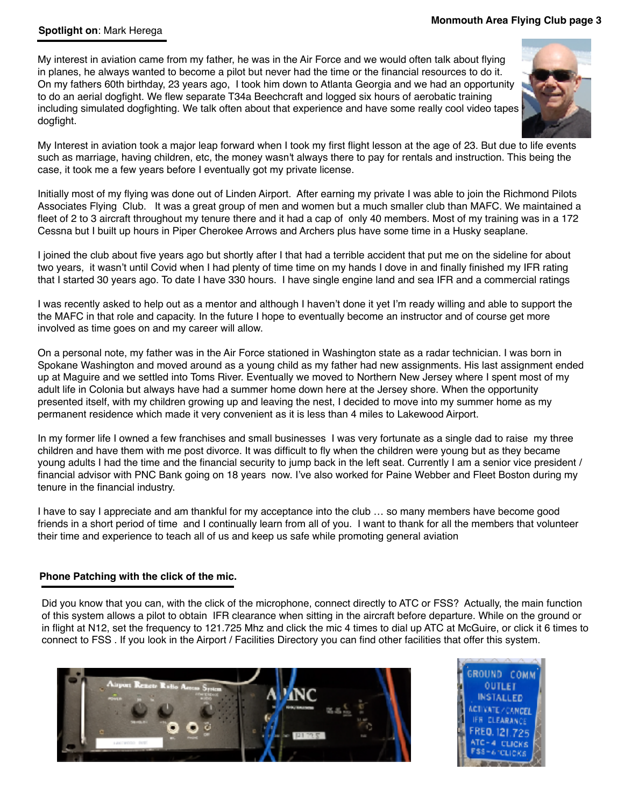#### **Spotlight on**: Mark Herega

#### **Monmouth Area Flying Club page 3**

My interest in aviation came from my father, he was in the Air Force and we would often talk about flying in planes, he always wanted to become a pilot but never had the time or the financial resources to do it. On my fathers 60th birthday, 23 years ago, I took him down to Atlanta Georgia and we had an opportunity to do an aerial dogfight. We flew separate T34a Beechcraft and logged six hours of aerobatic training including simulated dogfighting. We talk often about that experience and have some really cool video tapes dogfight.



My Interest in aviation took a major leap forward when I took my first flight lesson at the age of 23. But due to life events such as marriage, having children, etc, the money wasn't always there to pay for rentals and instruction. This being the case, it took me a few years before I eventually got my private license.

Initially most of my flying was done out of Linden Airport. After earning my private I was able to join the Richmond Pilots Associates Flying Club. It was a great group of men and women but a much smaller club than MAFC. We maintained a fleet of 2 to 3 aircraft throughout my tenure there and it had a cap of only 40 members. Most of my training was in a 172 Cessna but I built up hours in Piper Cherokee Arrows and Archers plus have some time in a Husky seaplane.

I joined the club about five years ago but shortly after I that had a terrible accident that put me on the sideline for about two years, it wasn't until Covid when I had plenty of time time on my hands I dove in and finally finished my IFR rating that I started 30 years ago. To date I have 330 hours. I have single engine land and sea IFR and a commercial ratings

I was recently asked to help out as a mentor and although I haven't done it yet I'm ready willing and able to support the the MAFC in that role and capacity. In the future I hope to eventually become an instructor and of course get more involved as time goes on and my career will allow.

On a personal note, my father was in the Air Force stationed in Washington state as a radar technician. I was born in Spokane Washington and moved around as a young child as my father had new assignments. His last assignment ended up at Maguire and we settled into Toms River. Eventually we moved to Northern New Jersey where I spent most of my adult life in Colonia but always have had a summer home down here at the Jersey shore. When the opportunity presented itself, with my children growing up and leaving the nest, I decided to move into my summer home as my permanent residence which made it very convenient as it is less than 4 miles to Lakewood Airport.

In my former life I owned a few franchises and small businesses I was very fortunate as a single dad to raise my three children and have them with me post divorce. It was difficult to fly when the children were young but as they became young adults I had the time and the financial security to jump back in the left seat. Currently I am a senior vice president / financial advisor with PNC Bank going on 18 years now. I've also worked for Paine Webber and Fleet Boston during my tenure in the financial industry.

I have to say I appreciate and am thankful for my acceptance into the club … so many members have become good friends in a short period of time and I continually learn from all of you. I want to thank for all the members that volunteer their time and experience to teach all of us and keep us safe while promoting general aviation

#### **Phone Patching with the click of the mic.**

Did you know that you can, with the click of the microphone, connect directly to ATC or FSS? Actually, the main function of this system allows a pilot to obtain IFR clearance when sitting in the aircraft before departure. While on the ground or in flight at N12, set the frequency to 121.725 Mhz and click the mic 4 times to dial up ATC at McGuire, or click it 6 times to connect to FSS . If you look in the Airport / Facilities Directory you can find other facilities that offer this system.



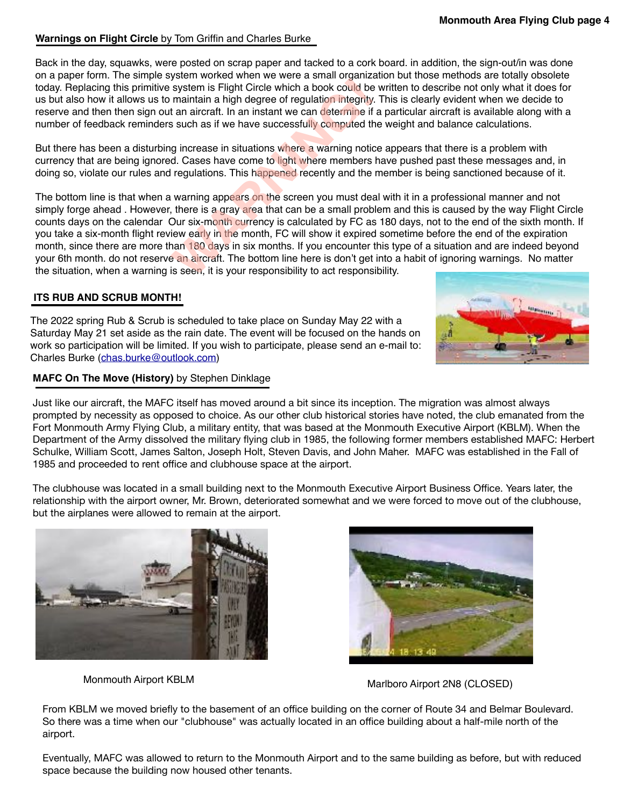#### **Warnings on Flight Circle** by Tom Griffin and Charles Burke

Back in the day, squawks, were posted on scrap paper and tacked to a cork board. in addition, the sign-out/in was done on a paper form. The simple system worked when we were a small organization but those methods are totally obsolete today. Replacing this primitive system is Flight Circle which a book could be written to describe not only what it does for us but also how it allows us to maintain a high degree of regulation integrity. This is clearly evident when we decide to reserve and then then sign out an aircraft. In an instant we can determine if a particular aircraft is available along with a number of feedback reminders such as if we have successfully computed the weight and balance calculations.

But there has been a disturbing increase in situations where a warning notice appears that there is a problem with currency that are being ignored. Cases have come to light where members have pushed past these messages and, in doing so, violate our rules and regulations. This happened recently and the member is being sanctioned because of it.

The bottom line is that when a warning appears on the screen you must deal with it in a professional manner and not simply forge ahead. However, there is a gray area that can be a small problem and this is caused by the way Flight Circle counts days on the calendar Our six-month currency is calculated by FC as 180 days, not to the end of the sixth month. If you take a six-month flight review early in the month, FC will show it expired sometime before the end of the expiration month, since there are more than 180 days in six months. If you encounter this type of a situation and are indeed beyond your 6th month. do not reserve an aircraft. The bottom line here is don't get into a habit of ignoring warnings. No matter<br>the situation, when a warning is seen, it is your responsibility to act responsibility. the situation, when a warning is seen, it is your responsibility, you for the situation, when a warning is seen, it is your capped to act as the situation integrity. This reserve and then then sign out an aircraft. In an i

#### **ITS RUB AND SCRUB MONTH!**

The 2022 spring Rub & Scrub is scheduled to take place on Sunday May 22 with a Saturday May 21 set aside as the rain date. The event will be focused on the hands on work so participation will be limited. If you wish to participate, please send an e-mail to: Charles Burke [\(chas.burke@outlook.com](mailto:chas.burke@outlook.com))

#### **MAFC On The Move (History)** by Stephen Dinklage

Just like our aircraft, the MAFC itself has moved around a bit since its inception. The migration was almost always prompted by necessity as opposed to choice. As our other club historical stories have noted, the club emanated from the Fort Monmouth Army Flying Club, a military entity, that was based at the Monmouth Executive Airport (KBLM). When the Department of the Army dissolved the military flying club in 1985, the following former members established MAFC: Herbert Schulke, William Scott, James Salton, Joseph Holt, Steven Davis, and John Maher. MAFC was established in the Fall of 1985 and proceeded to rent office and clubhouse space at the airport.

The clubhouse was located in a small building next to the Monmouth Executive Airport Business Office. Years later, the relationship with the airport owner, Mr. Brown, deteriorated somewhat and we were forced to move out of the clubhouse, but the airplanes were allowed to remain at the airport.





| Marlboro Airport 2N8 (CLOSED) |  |  |
|-------------------------------|--|--|
|-------------------------------|--|--|

From KBLM we moved briefly to the basement of an office building on the corner of Route 34 and Belmar Boulevard. So there was a time when our "clubhouse" was actually located in an office building about a half-mile north of the airport.

Eventually, MAFC was allowed to return to the Monmouth Airport and to the same building as before, but with reduced space because the building now housed other tenants.

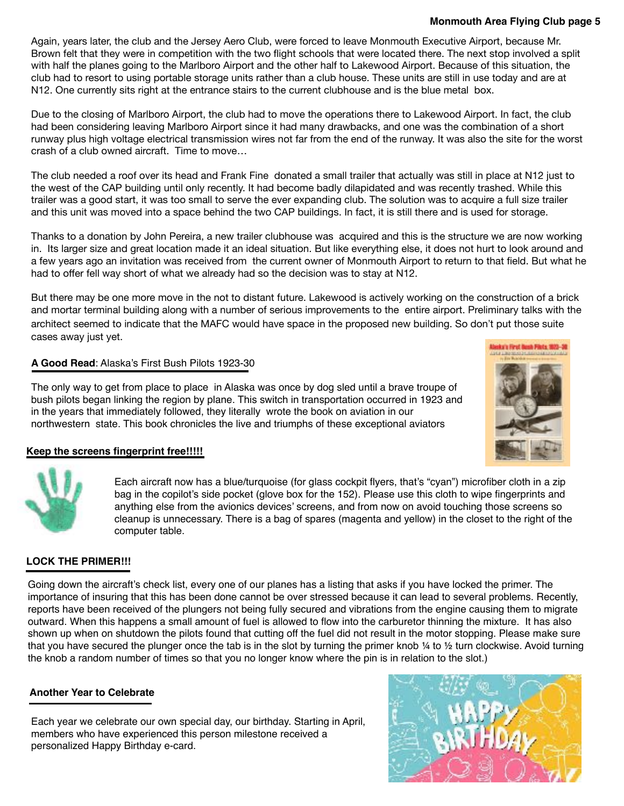#### **Monmouth Area Flying Club page 5**

Again, years later, the club and the Jersey Aero Club, were forced to leave Monmouth Executive Airport, because Mr. Brown felt that they were in competition with the two flight schools that were located there. The next stop involved a split with half the planes going to the Marlboro Airport and the other half to Lakewood Airport. Because of this situation, the club had to resort to using portable storage units rather than a club house. These units are still in use today and are at N12. One currently sits right at the entrance stairs to the current clubhouse and is the blue metal box.

Due to the closing of Marlboro Airport, the club had to move the operations there to Lakewood Airport. In fact, the club had been considering leaving Marlboro Airport since it had many drawbacks, and one was the combination of a short runway plus high voltage electrical transmission wires not far from the end of the runway. It was also the site for the worst crash of a club owned aircraft. Time to move…

The club needed a roof over its head and Frank Fine donated a small trailer that actually was still in place at N12 just to the west of the CAP building until only recently. It had become badly dilapidated and was recently trashed. While this trailer was a good start, it was too small to serve the ever expanding club. The solution was to acquire a full size trailer and this unit was moved into a space behind the two CAP buildings. In fact, it is still there and is used for storage.

Thanks to a donation by John Pereira, a new trailer clubhouse was acquired and this is the structure we are now working in. Its larger size and great location made it an ideal situation. But like everything else, it does not hurt to look around and a few years ago an invitation was received from the current owner of Monmouth Airport to return to that field. But what he had to offer fell way short of what we already had so the decision was to stay at N12.

But there may be one more move in the not to distant future. Lakewood is actively working on the construction of a brick and mortar terminal building along with a number of serious improvements to the entire airport. Preliminary talks with the architect seemed to indicate that the MAFC would have space in the proposed new building. So don't put those suite cases away just yet.

#### **A Good Read**: Alaska's First Bush Pilots 1923-30

The only way to get from place to place in Alaska was once by dog sled until a brave troupe of bush pilots began linking the region by plane. This switch in transportation occurred in 1923 and in the years that immediately followed, they literally wrote the book on aviation in our northwestern state. This book chronicles the live and triumphs of these exceptional aviators



#### **Keep the screens fingerprint free!!!!!**

Each aircraft now has a blue/turquoise (for glass cockpit flyers, that's "cyan") microfiber cloth in a zip bag in the copilot's side pocket (glove box for the 152). Please use this cloth to wipe fingerprints and anything else from the avionics devices' screens, and from now on avoid touching those screens so cleanup is unnecessary. There is a bag of spares (magenta and yellow) in the closet to the right of the computer table.

### **LOCK THE PRIMER!!!**

Going down the aircraft's check list, every one of our planes has a listing that asks if you have locked the primer. The importance of insuring that this has been done cannot be over stressed because it can lead to several problems. Recently, reports have been received of the plungers not being fully secured and vibrations from the engine causing them to migrate outward. When this happens a small amount of fuel is allowed to flow into the carburetor thinning the mixture. It has also shown up when on shutdown the pilots found that cutting off the fuel did not result in the motor stopping. Please make sure that you have secured the plunger once the tab is in the slot by turning the primer knob  $\frac{1}{4}$  to  $\frac{1}{2}$  turn clockwise. Avoid turning the knob a random number of times so that you no longer know where the pin is in relation to the slot.)

#### **Another Year to Celebrate**

Each year we celebrate our own special day, our birthday. Starting in April, members who have experienced this person milestone received a personalized Happy Birthday e-card.